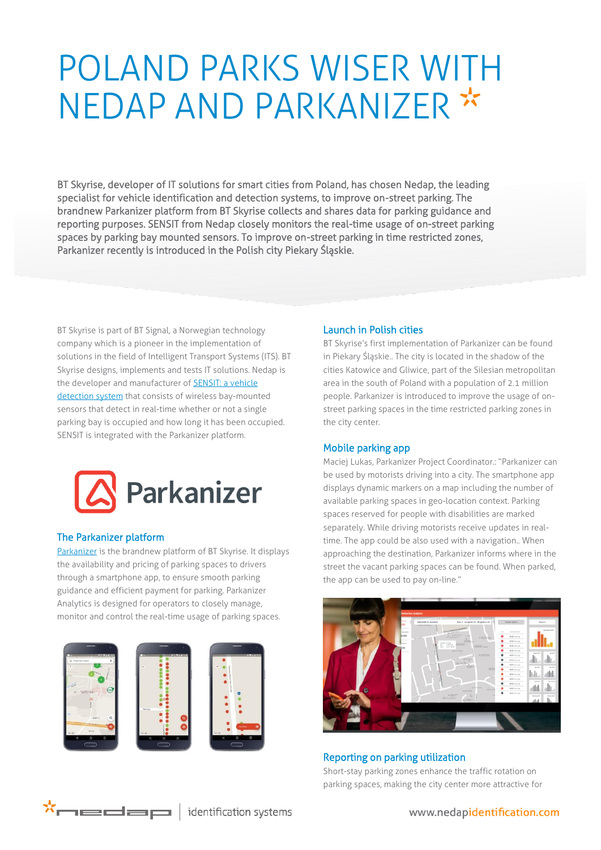# POLAND PARKS WISER WITH NEDAP AND PARKANIZER \*

BT Skyrise, developer of IT solutions for smart cities from Poland, has chosen Nedap, the leading specialist for vehicle identification and detection systems, to improve on-street parking. The brandnew Parkanizer platform from BT Skyrise collects and shares data for parking guidance and reporting purposes. SENSIT from Nedap closely monitors the real-time usage of on-street parking spaces by parking bay mounted sensors. To improve on-street parking in time restricted zones, Parkanizer recently is introduced in the Polish city Piekary Śląskie.

BT Skyrise is part of BT Signal, a Norwegian technology company which is a pioneer in the implementation of solutions in the field of Intelligent Transport Systems (ITS). BT Skyrise designs, implements and tests IT solutions. Nedap is the developer and manufacturer of **SENSIT: a vehicle** [detection system](http://www.nedapmobility.com/on-street-parking/products) that consists of wireless bay-mounted sensors that detect in real-time whether or not a single parking bay is occupied and how long it has been occupied. SENSIT is integrated with the Parkanizer platform.



### The Parkanizer platform

[Parkanizer](http://www.parkanizer.com/) is the brandnew platform of BT Skyrise. It displays the availability and pricing of parking spaces to drivers through a smartphone app, to ensure smooth parking guidance and efficient payment for parking. Parkanizer Analytics is designed for operators to closely manage, monitor and control the real-time usage of parking spaces.





### Launch in Polish cities

BT Skyrise's first implementation of Parkanizer can be found in Piekary Śląskie.. The city is located in the shadow of the cities Katowice and Gliwice, part of the Silesian metropolitan area in the south of Poland with a population of 2.1 million people. Parkanizer is introduced to improve the usage of onstreet parking spaces in the time restricted parking zones in the city center.

### Mobile parking app

Maciej Lukas, Parkanizer Project Coordinator.: "Parkanizer can be used by motorists driving into a city. The smartphone app displays dynamic markers on a map including the number of available parking spaces in geo-location context. Parking spaces reserved for people with disabilities are marked separately. While driving motorists receive updates in realtime. The app could be also used with a navigation.. When approaching the destination, Parkanizer informs where in the street the vacant parking spaces can be found. When parked, the app can be used to pay on-line."



## Reporting on parking utilization

Short-stay parking zones enhance the traffic rotation on parking spaces, making the city center more attractive for

identification systems

www.nedapidentification.com